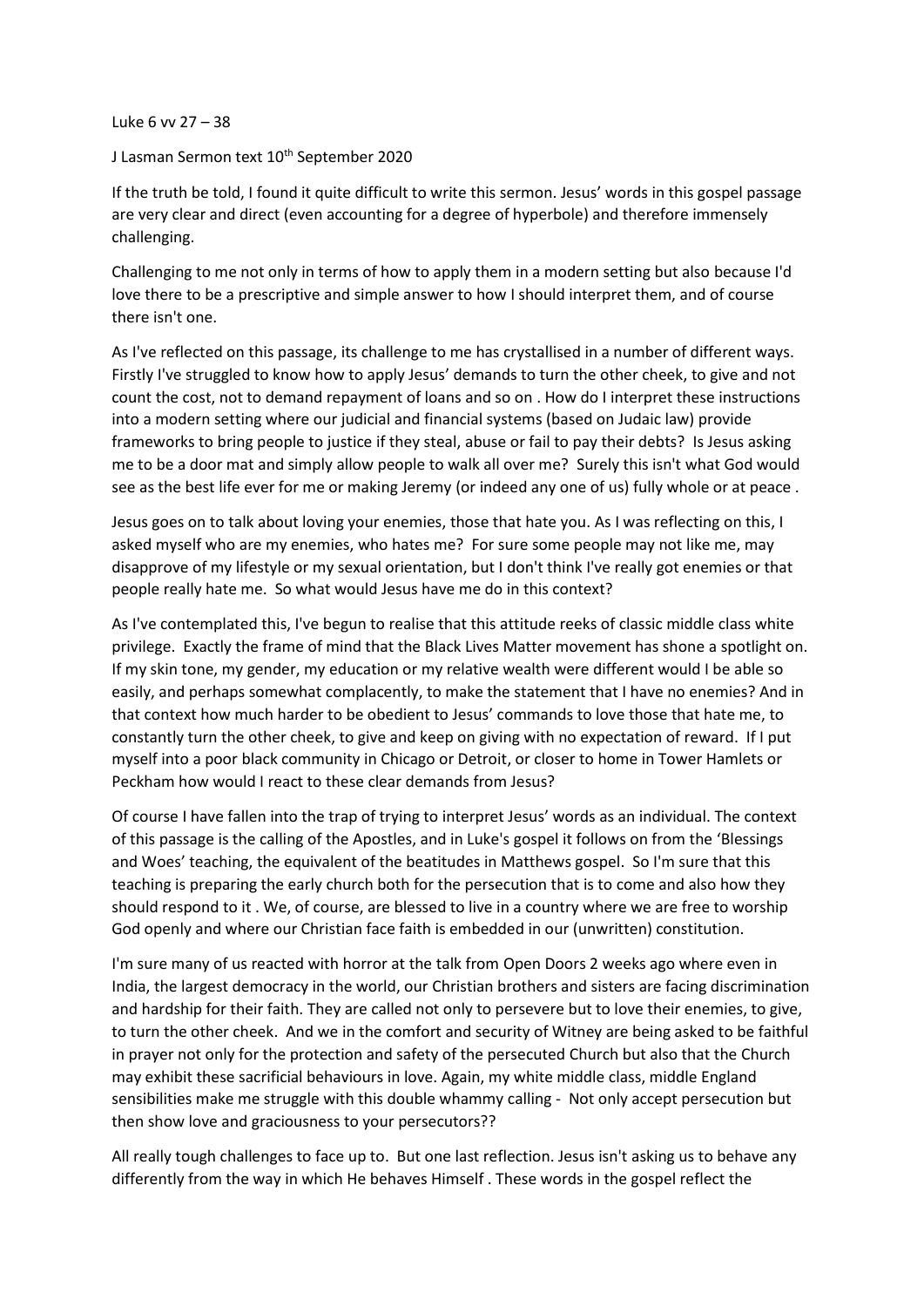Luke 6 vv 27 – 38

## J Lasman Sermon text 10<sup>th</sup> September 2020

If the truth be told, I found it quite difficult to write this sermon. Jesus' words in this gospel passage are very clear and direct (even accounting for a degree of hyperbole) and therefore immensely challenging.

Challenging to me not only in terms of how to apply them in a modern setting but also because I'd love there to be a prescriptive and simple answer to how I should interpret them, and of course there isn't one.

As I've reflected on this passage, its challenge to me has crystallised in a number of different ways. Firstly I've struggled to know how to apply Jesus' demands to turn the other cheek, to give and not count the cost, not to demand repayment of loans and so on . How do I interpret these instructions into a modern setting where our judicial and financial systems (based on Judaic law) provide frameworks to bring people to justice if they steal, abuse or fail to pay their debts? Is Jesus asking me to be a door mat and simply allow people to walk all over me? Surely this isn't what God would see as the best life ever for me or making Jeremy (or indeed any one of us) fully whole or at peace .

Jesus goes on to talk about loving your enemies, those that hate you. As I was reflecting on this, I asked myself who are my enemies, who hates me? For sure some people may not like me, may disapprove of my lifestyle or my sexual orientation, but I don't think I've really got enemies or that people really hate me. So what would Jesus have me do in this context?

As I've contemplated this, I've begun to realise that this attitude reeks of classic middle class white privilege. Exactly the frame of mind that the Black Lives Matter movement has shone a spotlight on. If my skin tone, my gender, my education or my relative wealth were different would I be able so easily, and perhaps somewhat complacently, to make the statement that I have no enemies? And in that context how much harder to be obedient to Jesus' commands to love those that hate me, to constantly turn the other cheek, to give and keep on giving with no expectation of reward. If I put myself into a poor black community in Chicago or Detroit, or closer to home in Tower Hamlets or Peckham how would I react to these clear demands from Jesus?

Of course I have fallen into the trap of trying to interpret Jesus' words as an individual. The context of this passage is the calling of the Apostles, and in Luke's gospel it follows on from the 'Blessings and Woes' teaching, the equivalent of the beatitudes in Matthews gospel. So I'm sure that this teaching is preparing the early church both for the persecution that is to come and also how they should respond to it . We, of course, are blessed to live in a country where we are free to worship God openly and where our Christian face faith is embedded in our (unwritten) constitution.

I'm sure many of us reacted with horror at the talk from Open Doors 2 weeks ago where even in India, the largest democracy in the world, our Christian brothers and sisters are facing discrimination and hardship for their faith. They are called not only to persevere but to love their enemies, to give, to turn the other cheek. And we in the comfort and security of Witney are being asked to be faithful in prayer not only for the protection and safety of the persecuted Church but also that the Church may exhibit these sacrificial behaviours in love. Again, my white middle class, middle England sensibilities make me struggle with this double whammy calling - Not only accept persecution but then show love and graciousness to your persecutors??

All really tough challenges to face up to. But one last reflection. Jesus isn't asking us to behave any differently from the way in which He behaves Himself . These words in the gospel reflect the